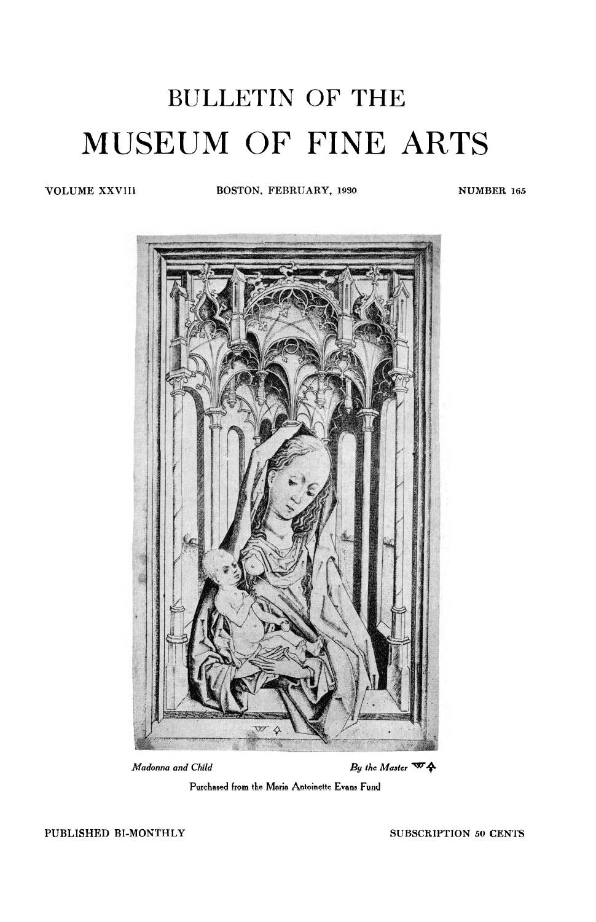# BULLETIN OF THE **MUSEUM OF FINE ARTS**

**VOLUME XXVIII BOSTON, FEBRUARY, 1930 NUMBER 165** 



 $M$ adonna and Child  $B$ y the Master  $\Psi$   $\rightarrow$ 



**PUBLISHED BI-MONTHLY SUBSCRIPTION** *50* **CENTS**